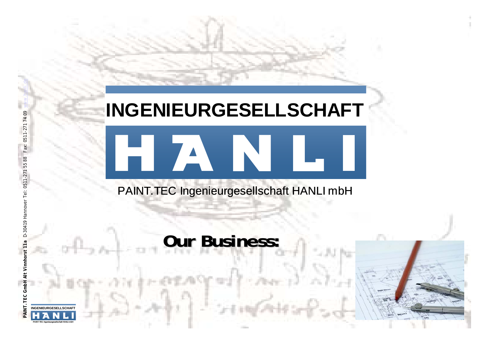## INGENIEURGESELLSCHAFT

## PAINT.TEC Ingenieurgesellschaft HANLI mbH

HZ NULL

## **Our Business: Our Business:**

- -



PAINT.TEC Ingenieurgesellschaft HANLI mbH

**INGENIEURGESELLSCHA**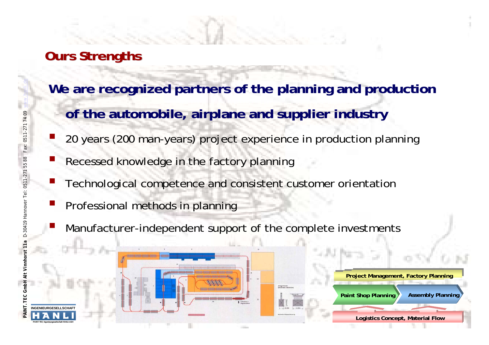### **Ours Strengths Ours Strengths**

 $\mathcal{L}(\mathcal{L})$ 

- **We are recognized partners of the planning and production** 
	- **of the automobile, airplane and supplier industry**
	- 20 years (200 man-years) project experience in production planning
- Recessed knowledge in the factory planning
- Technological competence and consistent customer orientation
- Professional methods in planning
- Manufacturer-independent support of the complete investments

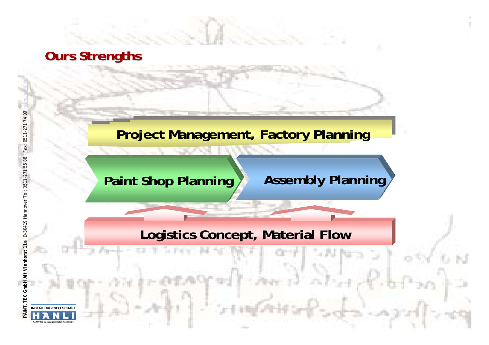### **Ours Strengths**

Fax: 0511-27

5588

D-30419 H

### **Project Management, Factory Planning**

### **Paint Shop Planning A** Assembly Planning

### **Logistics Concept, Material Flow**

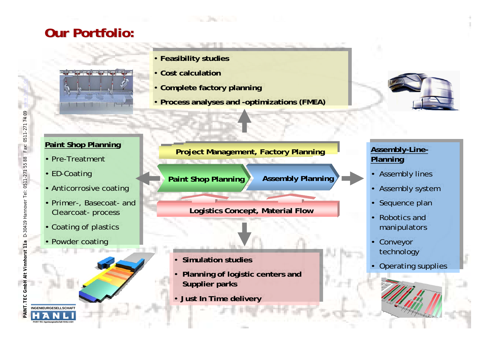### **Our Portfolio: Our Portfolio:**



- **Feasibility studies Feasibility studies**
- **Cost calculatio n Cost calculation**
- **Complet e factory planning Complet e factory planning**
- **Process analyses and -optimizations (FMEA) Process analyses and -optimizations (FMEA)**



### **P aint Shop Planning P aint Shop Planning**

- Pre-Treatment Pre-Treatment
- ED-Coating
- Anticorrosive coating
- Primer-, Basecoat-and Primer-, Basecoat-and Cle arcoat- process Cle arcoat- process
- Co ating of plastics Co ating of plastics
- Powder coating

PAINT.TEC Ingenieurgesellschaft HANLI mbH

**INGENIEURGESELLSCHAFT**

**Paint Shop Pl a nnin g Asse m bly Planning Proje ct Management, Factory Pl anning**

**Logistics Concept, Material Flow**

- **Simulation studies Simulation studies**
- **Planning of logistic centers and Supplier parks Supplier parks**
- **Just In Time delivery Just In Time delivery**

### **Assembly-Line-Assembly-Line-Planning Planning**

- Assembly lines Assembly lines
- Assembly system Assembly system
- Sequence plan Sequence plan
- Robotics and manipulators $^{\circ}$
- Conveyor technology technology
- Operating supplies Operating supplies

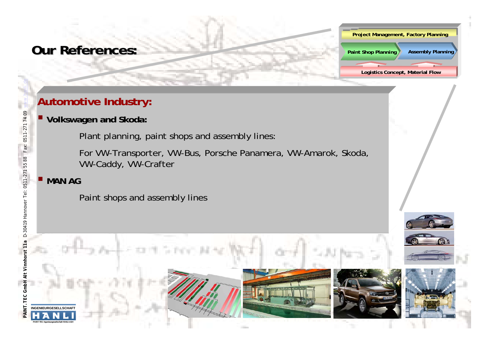### **Autom otive Industry: tive Industry:**

### **Volkswagen and Skoda:**

Plant planning, paint shops and assembly lines:

For VW-Transporter, VW-Bus, Porsche Panamera, VW-Amarok, Skoda, VW-Caddy, VW-Crafter

**Logistics Conce pt, Material Flow**

**Project Management, Fact ory Planning**

**Assembly Planning** 

**Paint Shop Planning** 

### **MAN AG**

Fax: 0511-271 74 09

Paint shops and assembly lines

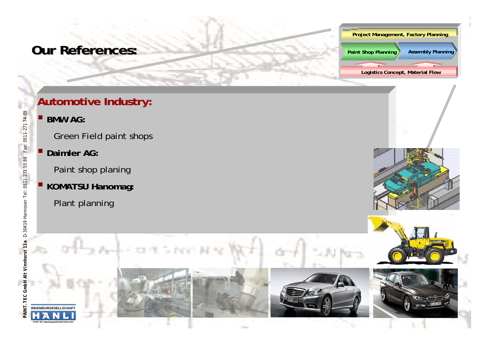#### **Project Management, Fact ory Planning**

**Paint Shop Planning Assembly Planning** 

**Logistics Conce pt, Material Flow**

### **Autom otive Industry: tive Industry:**

п **BMW AG:** 

Fax: 0511-271 74 09

Green Field paint shops

**Daimler AG:**

Paint shop planing

- **E** KOMATSU Hanomag:
	- Plant planning



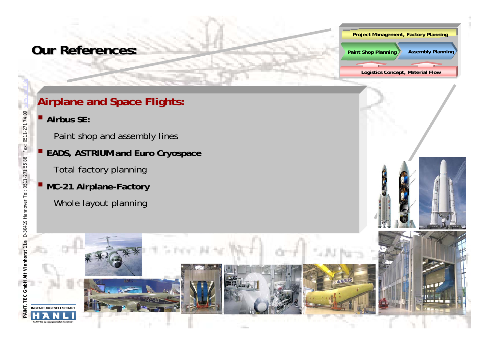

**Paint Shop Planning Assembly Planning** 

**Logistics Conce pt, Material Flow**

### **Airplane and Space Flights:**

**Airbus SE:** 

Fax: 0511-271 74 09

PAINT.TEC Ingenieurgesellschaft HANLI mbH

- Paint shop and assembly lines
- **EADS, AST RIUM and Euro Cryospace**
	- Total factory planning
	- **MC-21 Airplane-Factory**
		- Whole layout planning

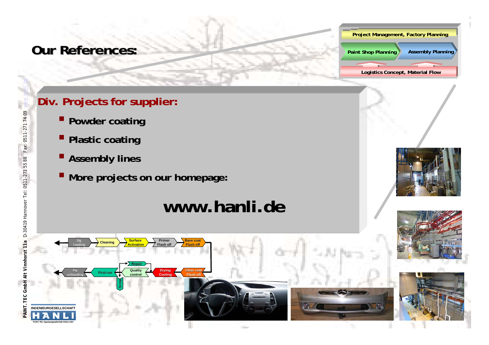#### **Project Management, Fact ory Planning**

**Paint Shop Planning Assembly Planning** 

**Logistics Conce pt, Material Flow**

### **Div. Projects for supplier:**

- **Powder coating**
- **Plastic coating**
- **Assem bly lines**

*PAINT.TEC GmbH Alt Vinnhorst 11a* D-30419 Hannover Tel: 0511-271 55 88 Fax: 0511-271 74 09 www.hanli.de

PAINT. TEC GmbH Alt Vinnhorst 11

D-30419 Hannover Tel: 0511-271 55 88

Fax: 0511-271 74 09

PAINT.TEC Ingenieurgesellschaft HANLI mbH

**More projects on our homepage:** 

## **www.hanli.de**







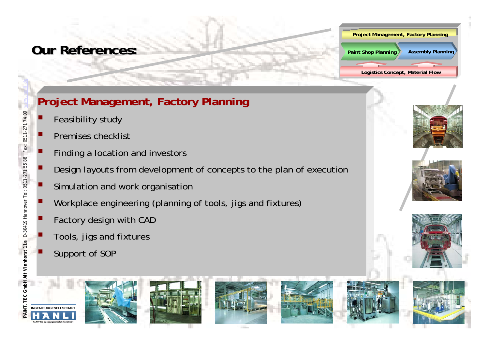#### **Project Management, Fact ory Planning**

**Logistics Conce pt, Material Flow**

**Paint Shop Planning Assembly Planning** 

### **Project Management, Factory Planning**

- Feasibility study
- Ξ Premises checklist
- **Finding a location and investors**
- Ξ Design layouts from development of concepts to the plan of execution
	- Simulation and work organisation
- Workplace engineering (planning of tools, jigs and fixtures)
- Factory design with CAD
- Tools, jigs and fixtures
- Support of SOP

Ξ

Fax: 0511-271 74 09

Ξ